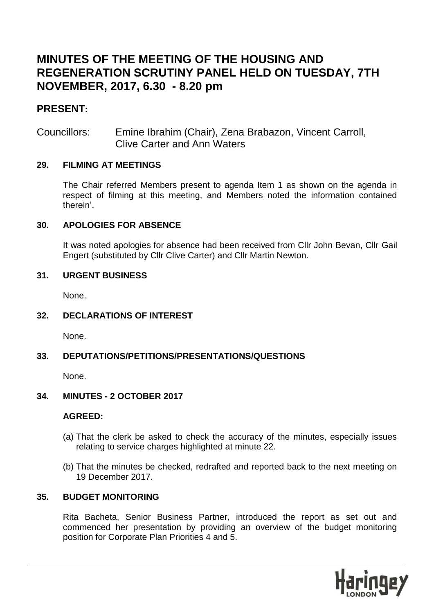# **MINUTES OF THE MEETING OF THE HOUSING AND REGENERATION SCRUTINY PANEL HELD ON TUESDAY, 7TH NOVEMBER, 2017, 6.30 - 8.20 pm**

# **PRESENT:**

Councillors: Emine Ibrahim (Chair), Zena Brabazon, Vincent Carroll, Clive Carter and Ann Waters

# **29. FILMING AT MEETINGS**

The Chair referred Members present to agenda Item 1 as shown on the agenda in respect of filming at this meeting, and Members noted the information contained therein'.

## **30. APOLOGIES FOR ABSENCE**

It was noted apologies for absence had been received from Cllr John Bevan, Cllr Gail Engert (substituted by Cllr Clive Carter) and Cllr Martin Newton.

## **31. URGENT BUSINESS**

None.

# **32. DECLARATIONS OF INTEREST**

None.

# **33. DEPUTATIONS/PETITIONS/PRESENTATIONS/QUESTIONS**

None.

#### **34. MINUTES - 2 OCTOBER 2017**

#### **AGREED:**

- (a) That the clerk be asked to check the accuracy of the minutes, especially issues relating to service charges highlighted at minute 22.
- (b) That the minutes be checked, redrafted and reported back to the next meeting on 19 December 2017.

#### **35. BUDGET MONITORING**

Rita Bacheta, Senior Business Partner, introduced the report as set out and commenced her presentation by providing an overview of the budget monitoring position for Corporate Plan Priorities 4 and 5.

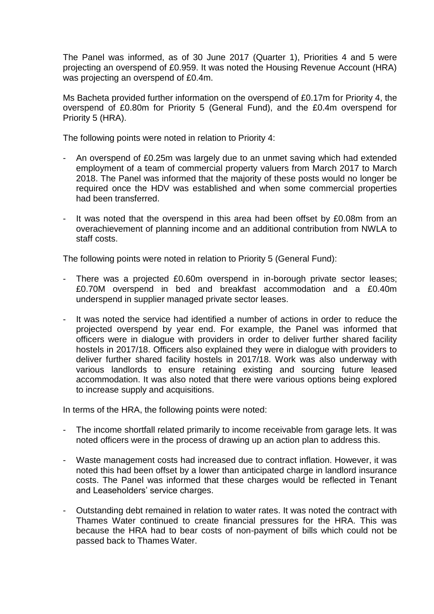The Panel was informed, as of 30 June 2017 (Quarter 1), Priorities 4 and 5 were projecting an overspend of £0.959. It was noted the Housing Revenue Account (HRA) was projecting an overspend of £0.4m.

Ms Bacheta provided further information on the overspend of £0.17m for Priority 4, the overspend of £0.80m for Priority 5 (General Fund), and the £0.4m overspend for Priority 5 (HRA).

The following points were noted in relation to Priority 4:

- An overspend of £0.25m was largely due to an unmet saving which had extended employment of a team of commercial property valuers from March 2017 to March 2018. The Panel was informed that the majority of these posts would no longer be required once the HDV was established and when some commercial properties had been transferred.
- It was noted that the overspend in this area had been offset by £0.08m from an overachievement of planning income and an additional contribution from NWLA to staff costs.

The following points were noted in relation to Priority 5 (General Fund):

- There was a projected £0.60m overspend in in-borough private sector leases; £0.70M overspend in bed and breakfast accommodation and a £0.40m underspend in supplier managed private sector leases.
- It was noted the service had identified a number of actions in order to reduce the projected overspend by year end. For example, the Panel was informed that officers were in dialogue with providers in order to deliver further shared facility hostels in 2017/18. Officers also explained they were in dialogue with providers to deliver further shared facility hostels in 2017/18. Work was also underway with various landlords to ensure retaining existing and sourcing future leased accommodation. It was also noted that there were various options being explored to increase supply and acquisitions.

In terms of the HRA, the following points were noted:

- The income shortfall related primarily to income receivable from garage lets. It was noted officers were in the process of drawing up an action plan to address this.
- Waste management costs had increased due to contract inflation. However, it was noted this had been offset by a lower than anticipated charge in landlord insurance costs. The Panel was informed that these charges would be reflected in Tenant and Leaseholders' service charges.
- Outstanding debt remained in relation to water rates. It was noted the contract with Thames Water continued to create financial pressures for the HRA. This was because the HRA had to bear costs of non-payment of bills which could not be passed back to Thames Water.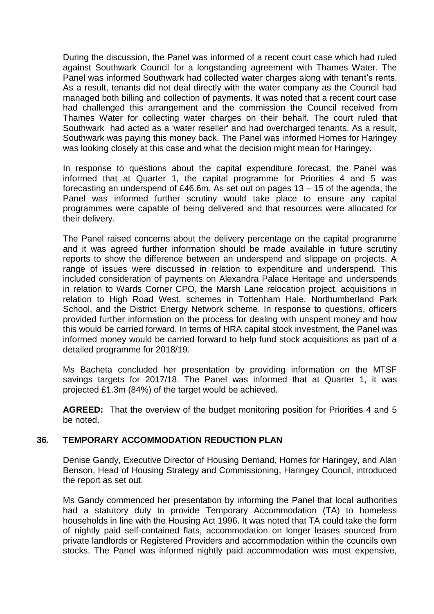During the discussion, the Panel was informed of a recent court case which had ruled against Southwark Council for a longstanding agreement with Thames Water. The Panel was informed Southwark had collected water charges along with tenant's rents. As a result, tenants did not deal directly with the water company as the Council had managed both billing and collection of payments. It was noted that a recent court case had challenged this arrangement and the commission the Council received from Thames Water for collecting water charges on their behalf. The court ruled that Southwark had acted as a 'water reseller' and had overcharged tenants. As a result, Southwark was paying this money back. The Panel was informed Homes for Haringey was looking closely at this case and what the decision might mean for Haringey.

In response to questions about the capital expenditure forecast, the Panel was informed that at Quarter 1, the capital programme for Priorities 4 and 5 was forecasting an underspend of £46.6m. As set out on pages 13 – 15 of the agenda, the Panel was informed further scrutiny would take place to ensure any capital programmes were capable of being delivered and that resources were allocated for their delivery.

The Panel raised concerns about the delivery percentage on the capital programme and it was agreed further information should be made available in future scrutiny reports to show the difference between an underspend and slippage on projects. A range of issues were discussed in relation to expenditure and underspend. This included consideration of payments on Alexandra Palace Heritage and underspends in relation to Wards Corner CPO, the Marsh Lane relocation project, acquisitions in relation to High Road West, schemes in Tottenham Hale, Northumberland Park School, and the District Energy Network scheme. In response to questions, officers provided further information on the process for dealing with unspent money and how this would be carried forward. In terms of HRA capital stock investment, the Panel was informed money would be carried forward to help fund stock acquisitions as part of a detailed programme for 2018/19.

Ms Bacheta concluded her presentation by providing information on the MTSF savings targets for 2017/18. The Panel was informed that at Quarter 1, it was projected £1.3m (84%) of the target would be achieved.

**AGREED:** That the overview of the budget monitoring position for Priorities 4 and 5 be noted.

#### **36. TEMPORARY ACCOMMODATION REDUCTION PLAN**

Denise Gandy, Executive Director of Housing Demand, Homes for Haringey, and Alan Benson, Head of Housing Strategy and Commissioning, Haringey Council, introduced the report as set out.

Ms Gandy commenced her presentation by informing the Panel that local authorities had a statutory duty to provide Temporary Accommodation (TA) to homeless households in line with the Housing Act 1996. It was noted that TA could take the form of nightly paid self-contained flats, accommodation on longer leases sourced from private landlords or Registered Providers and accommodation within the councils own stocks. The Panel was informed nightly paid accommodation was most expensive,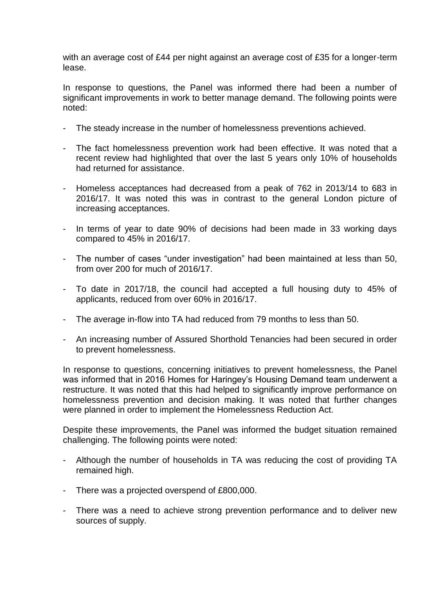with an average cost of £44 per night against an average cost of £35 for a longer-term lease.

In response to questions, the Panel was informed there had been a number of significant improvements in work to better manage demand. The following points were noted:

- The steady increase in the number of homelessness preventions achieved.
- The fact homelessness prevention work had been effective. It was noted that a recent review had highlighted that over the last 5 years only 10% of households had returned for assistance.
- Homeless acceptances had decreased from a peak of 762 in 2013/14 to 683 in 2016/17. It was noted this was in contrast to the general London picture of increasing acceptances.
- In terms of year to date 90% of decisions had been made in 33 working days compared to 45% in 2016/17.
- The number of cases "under investigation" had been maintained at less than 50, from over 200 for much of 2016/17.
- To date in 2017/18, the council had accepted a full housing duty to 45% of applicants, reduced from over 60% in 2016/17.
- The average in-flow into TA had reduced from 79 months to less than 50.
- An increasing number of Assured Shorthold Tenancies had been secured in order to prevent homelessness.

In response to questions, concerning initiatives to prevent homelessness, the Panel was informed that in 2016 Homes for Haringey's Housing Demand team underwent a restructure. It was noted that this had helped to significantly improve performance on homelessness prevention and decision making. It was noted that further changes were planned in order to implement the Homelessness Reduction Act.

Despite these improvements, the Panel was informed the budget situation remained challenging. The following points were noted:

- Although the number of households in TA was reducing the cost of providing TA remained high.
- There was a projected overspend of £800,000.
- There was a need to achieve strong prevention performance and to deliver new sources of supply.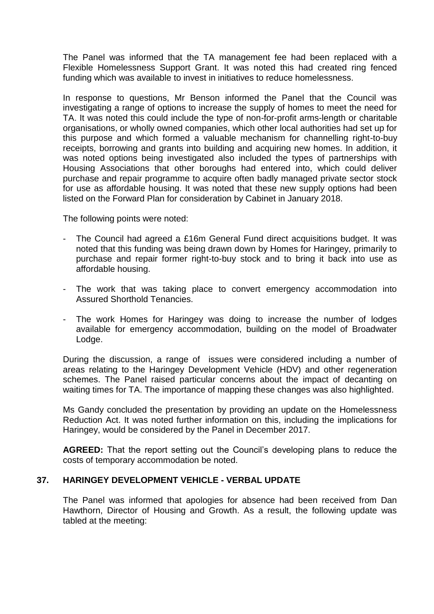The Panel was informed that the TA management fee had been replaced with a Flexible Homelessness Support Grant. It was noted this had created ring fenced funding which was available to invest in initiatives to reduce homelessness.

In response to questions, Mr Benson informed the Panel that the Council was investigating a range of options to increase the supply of homes to meet the need for TA. It was noted this could include the type of non-for-profit arms-length or charitable organisations, or wholly owned companies, which other local authorities had set up for this purpose and which formed a valuable mechanism for channelling right-to-buy receipts, borrowing and grants into building and acquiring new homes. In addition, it was noted options being investigated also included the types of partnerships with Housing Associations that other boroughs had entered into, which could deliver purchase and repair programme to acquire often badly managed private sector stock for use as affordable housing. It was noted that these new supply options had been listed on the Forward Plan for consideration by Cabinet in January 2018.

The following points were noted:

- The Council had agreed a £16m General Fund direct acquisitions budget. It was noted that this funding was being drawn down by Homes for Haringey, primarily to purchase and repair former right-to-buy stock and to bring it back into use as affordable housing.
- The work that was taking place to convert emergency accommodation into Assured Shorthold Tenancies.
- The work Homes for Haringey was doing to increase the number of lodges available for emergency accommodation, building on the model of Broadwater Lodge.

During the discussion, a range of issues were considered including a number of areas relating to the Haringey Development Vehicle (HDV) and other regeneration schemes. The Panel raised particular concerns about the impact of decanting on waiting times for TA. The importance of mapping these changes was also highlighted.

Ms Gandy concluded the presentation by providing an update on the Homelessness Reduction Act. It was noted further information on this, including the implications for Haringey, would be considered by the Panel in December 2017.

**AGREED:** That the report setting out the Council's developing plans to reduce the costs of temporary accommodation be noted.

#### **37. HARINGEY DEVELOPMENT VEHICLE - VERBAL UPDATE**

The Panel was informed that apologies for absence had been received from Dan Hawthorn, Director of Housing and Growth. As a result, the following update was tabled at the meeting: